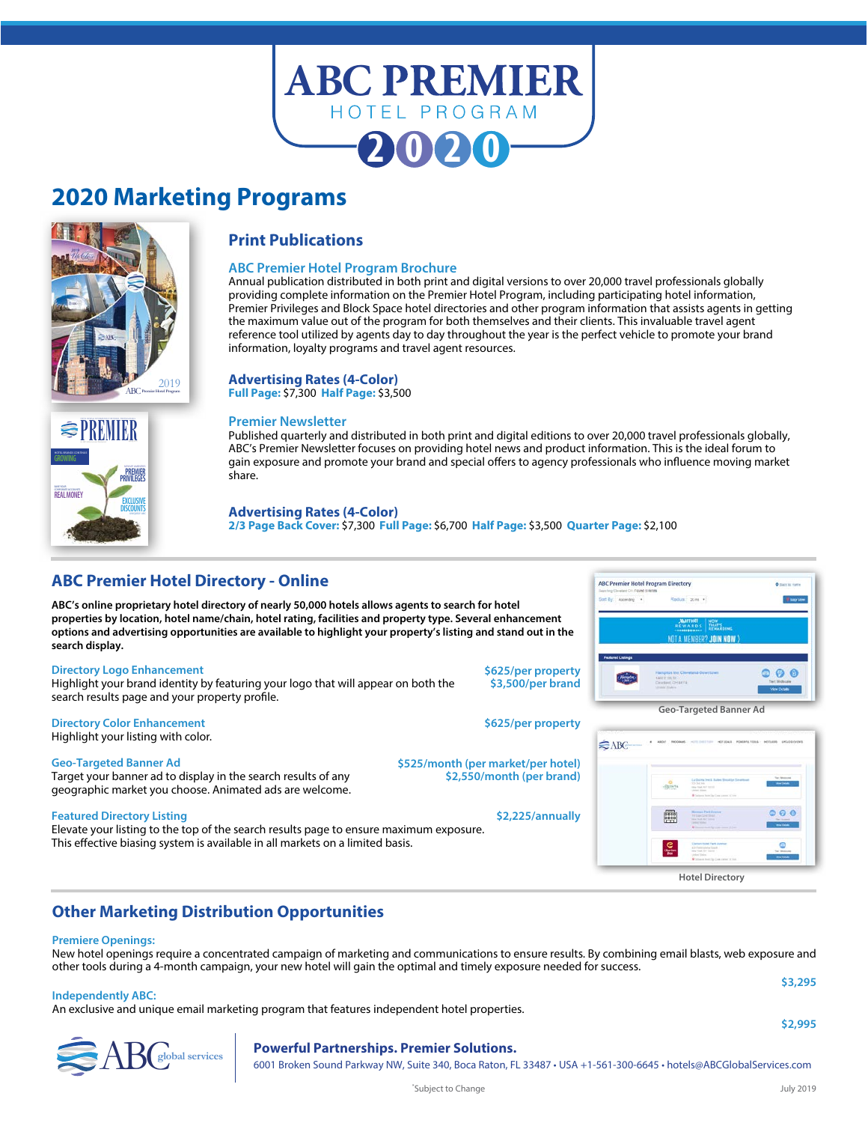

### **2020 Marketing Programs**



**REAL MONEY** 

**GROWING** HOTEL BRANDS CONTINUE

### **Print Publications**

### **ABC Premier Hotel Program Brochure**

Annual publication distributed in both print and digital versions to over 20,000 travel professionals globally providing complete information on the Premier Hotel Program, including participating hotel information, Premier Privileges and Block Space hotel directories and other program information that assists agents in getting the maximum value out of the program for both themselves and their clients. This invaluable travel agent reference tool utilized by agents day to day throughout the year is the perfect vehicle to promote your brand information, loyalty programs and travel agent resources.

### **Advertising Rates (4-Color)**

**Full Page:** \$7,300 **Half Page:** \$3,500

### **Premier Newsletter**

Published quarterly and distributed in both print and digital editions to over 20,000 travel professionals globally, ABC's Premier Newsletter focuses on providing hotel news and product information. This is the ideal forum to gain exposure and promote your brand and special offers to agency professionals who influence moving market share.

### **Advertising Rates (4-Color)**

**2/3 Page Back Cover:** \$7,300**Full Page:** \$6,700 **Half Page:** \$3,500 **Quarter Page:** \$2,100

### **ABC Premier Hotel Directory - Online**

**ABC's online proprietary hotel directory of nearly 50,000 hotels allows agents to search for hotel properties by location, hotel name/chain, hotel rating, facilities and property type. Several enhancement options and advertising opportunities are available to highlight your property's listing and stand out in the search display.**

### **Directory Logo Enhancement**

NEW VIP AMENITIES **PREMIER PRIVILEGES**

ABC**global services PREMIER**

**EXCLUSIVE DISCOUNTS** 

Highlight your brand identity by featuring your logo that will appear on both the search results page and your property profile.

#### **Directory Color Enhancement**  $\sim$  **Directory Color Enhancement** Highlight your listing with color.

**Geo-Targeted Banner Ad**

Target your banner ad to display in the search results of any geographic market you choose. Animated ads are welcome.

### **Featured Directory Listing \$2,225/annually**

Elevate your listing to the top of the search results page to ensure maximum exposure. This effective biasing system is available in all markets on a limited basis.

### **\$625/per property \$3,500/per brand**

**\$525/month (per market/per hotel) \$2,550/month (per brand)**

# €ABG

**ABC Premier Hotel Program Director** 



**Geo-Targeted Banner Ad**

**WOT A MEMBER? JOIN NOW** 

### **Other Marketing Distribution Opportunities**

### **Premiere Openings:**

New hotel openings require a concentrated campaign of marketing and communications to ensure results. By combining email blasts, web exposure and other tools during a 4-month campaign, your new hotel will gain the optimal and timely exposure needed for success.

### **Independently ABC:**

An exclusive and unique email marketing program that features independent hotel properties.

| $\sim$ | ٠ | ٩ |  |
|--------|---|---|--|
|        |   |   |  |

 $\Theta$  $\Theta$ 

**\$2,995**

ABCobal services
8001 Broken Sound Partnerships. Premier Solutions.<br>
6001 Broken Sound Parkway NW, Suite 340, Boca Raton, FL 33487 • USA +1-561-300-6645 • hotels@ABCGlobalServices.com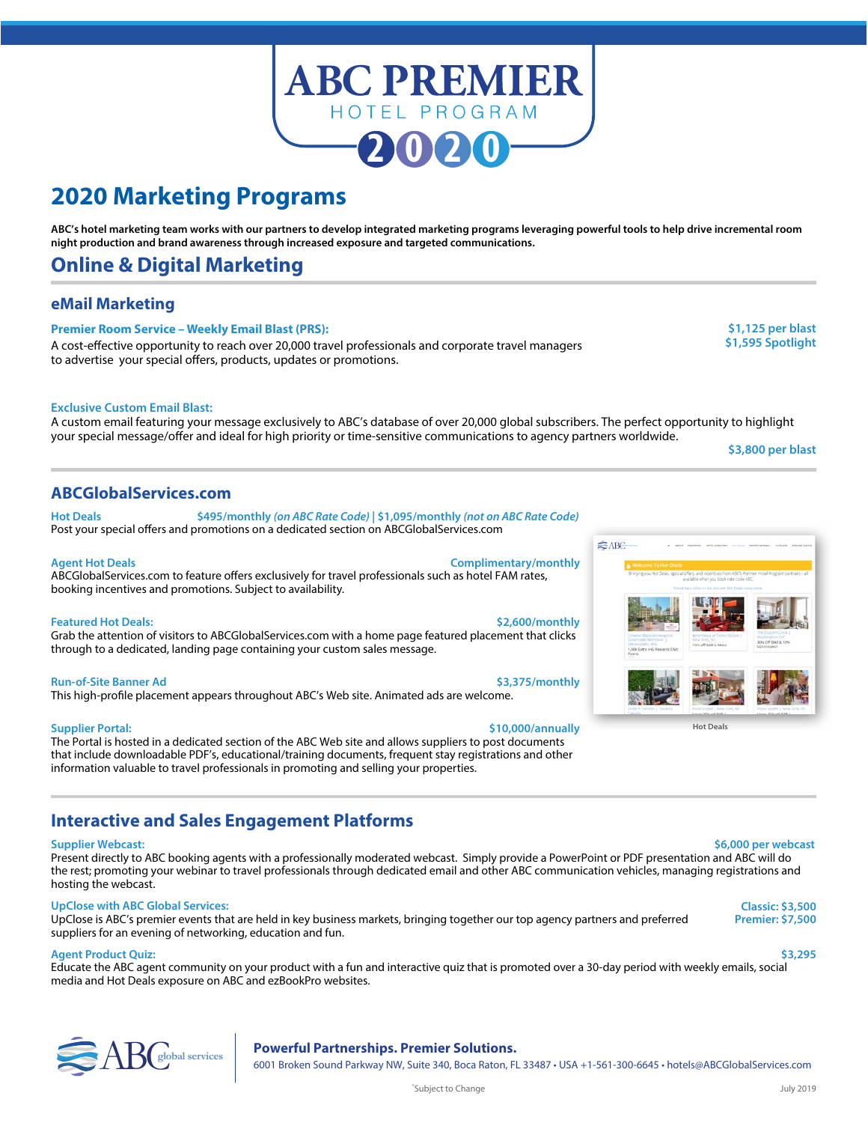

### **2020 Marketing Programs**

**ABC's hotel marketing team works with our partners to develop integrated marketing programs leveraging powerful tools to help drive incremental room night production and brand awareness through increased exposure and targeted communications.** 

### **Online & Digital Marketing**

### **eMail Marketing**

### **Premier Room Service – Weekly Email Blast (PRS):**

A cost-effective opportunity to reach over 20,000 travel professionals and corporate travel managers **\$1,595 Spotlight** to advertise your special offers, products, updates or promotions.

**\$1,125 per blast**

### **Exclusive Custom Email Blast:**

A custom email featuring your message exclusively to ABC's database of over 20,000 global subscribers. The perfect opportunity to highlight your special message/offer and ideal for high priority or time-sensitive communications to agency partners worldwide.

**\$3,800 per blast**

### **ABCGlobalServices.com**

**Hot Deals \$495/monthly** *(on ABC Rate Code)* **| \$1,095/monthly** *(not on ABC Rate Code)* Post your special offers and promotions on a dedicated section on ABCGlobalServices.com

### **Agent Hot Deals Complimentary/monthly**

ABCGlobalServices.com to feature offers exclusively for travel professionals such as hotel FAM rates, booking incentives and promotions. Subject to availability.

#### **Featured Hot Deals: \$2,600/monthly**

Grab the attention of visitors to ABCGlobalServices.com with a home page featured placement that clicks through to a dedicated, landing page containing your custom sales message.

#### **Run-of-Site Banner Ad \$3,375/monthly**

This high-profile placement appears throughout ABC's Web site. Animated ads are welcome.

#### **Supplier Portal: \$10,000/annually**

The Portal is hosted in a dedicated section of the ABC Web site and allows suppliers to post documents that include downloadable PDF's, educational/training documents, frequent stay registrations and other information valuable to travel professionals in promoting and selling your properties.

### **Interactive and Sales Engagement Platforms**

**Supplier Webcast: \$6,000 per webcast** Present directly to ABC booking agents with a professionally moderated webcast. Simply provide a PowerPoint or PDF presentation and ABC will do the rest; promoting your webinar to travel professionals through dedicated email and other ABC communication vehicles, managing registrations and hosting the webcast.

### **UpClose with ABC Global Services:**

UpClose is ABC's premier events that are held in key business markets, bringing together our top agency partners and preferred suppliers for an evening of networking, education and fun.

### **Agent Product Quiz: \$3,295**

Educate the ABC agent community on your product with a fun and interactive quiz that is promoted over a 30-day period with weekly emails, social media and Hot Deals exposure on ABC and ezBookPro websites.

# ABC**global services Powerful Partnerships. Premier Solutions.**

6001 Broken Sound Parkway NW, Suite 340, Boca Raton, FL 33487 • USA +1-561-300-6645 • hotels@ABCGlobalServices.com



**Classic: \$3,500 Premier: \$7,500**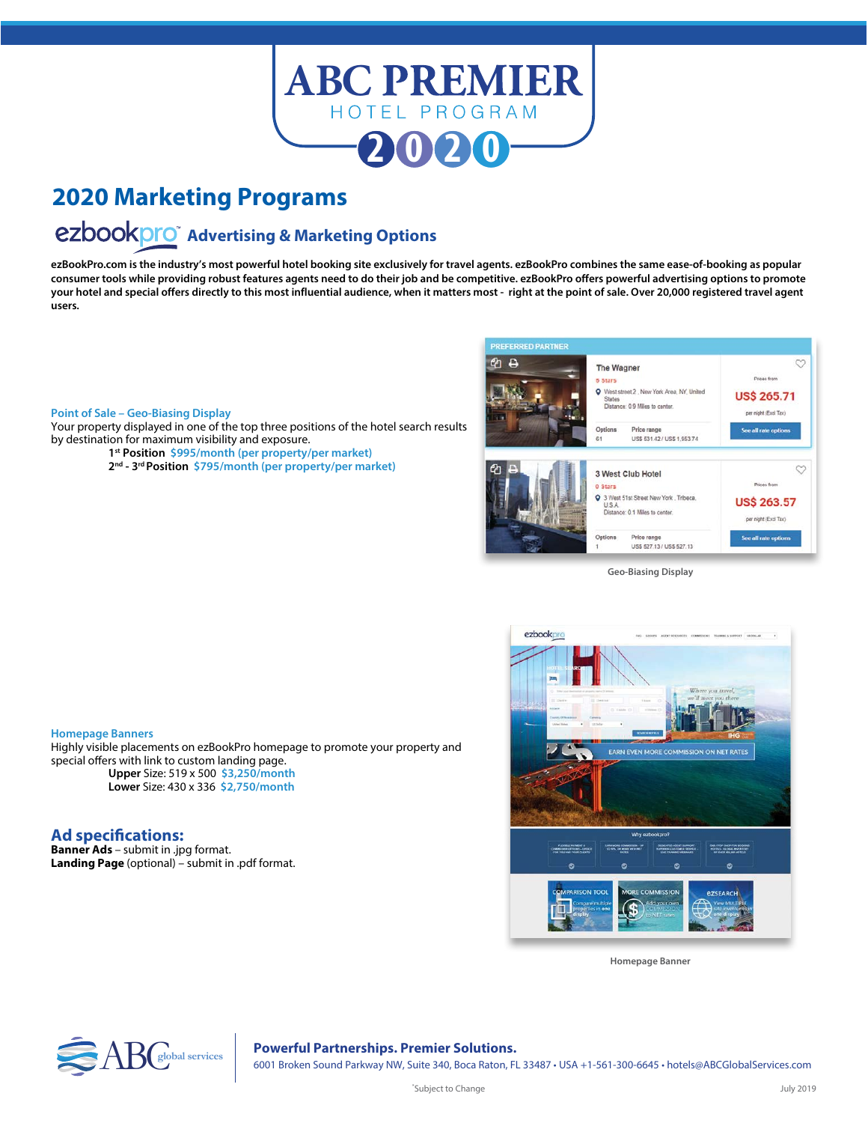

## **2020 Marketing Programs**

# **ezbookpro** Advertising & Marketing Options

**ezBookPro.com is the industry's most powerful hotel booking site exclusively for travel agents. ezBookPro combines the same ease-of-booking as popular consumer tools while providing robust features agents need to do their job and be competitive. ezBookPro offers powerful advertising options to promote your hotel and special offers directly to this most influential audience, when it matters most - right at the point of sale. Over 20,000 registered travel agent users.**

#### **Point of Sale – Geo-Biasing Display**

**Homepage Banners**

**Ad specifications: Banner Ads** – submit in .jpg format.

special offers with link to custom landing page.

**Landing Page** (optional) – submit in .pdf format.

**Upper** Size: 519 x 500 **\$3,250/month Lower** Size: 430 x 336 **\$2,750/month**

Your property displayed in one of the top three positions of the hotel search results by destination for maximum visibility and exposure.

- **1st Position \$995/month (per property/per market)**
- **2nd 3rd Position \$795/month (per property/per market)**

Highly visible placements on ezBookPro homepage to promote your property and



**Geo-Biasing Display**



**Homepage Banner**



6001 Broken Sound Parkway NW, Suite 340, Boca Raton, FL 33487 • USA +1-561-300-6645 • hotels@ABCGlobalServices.com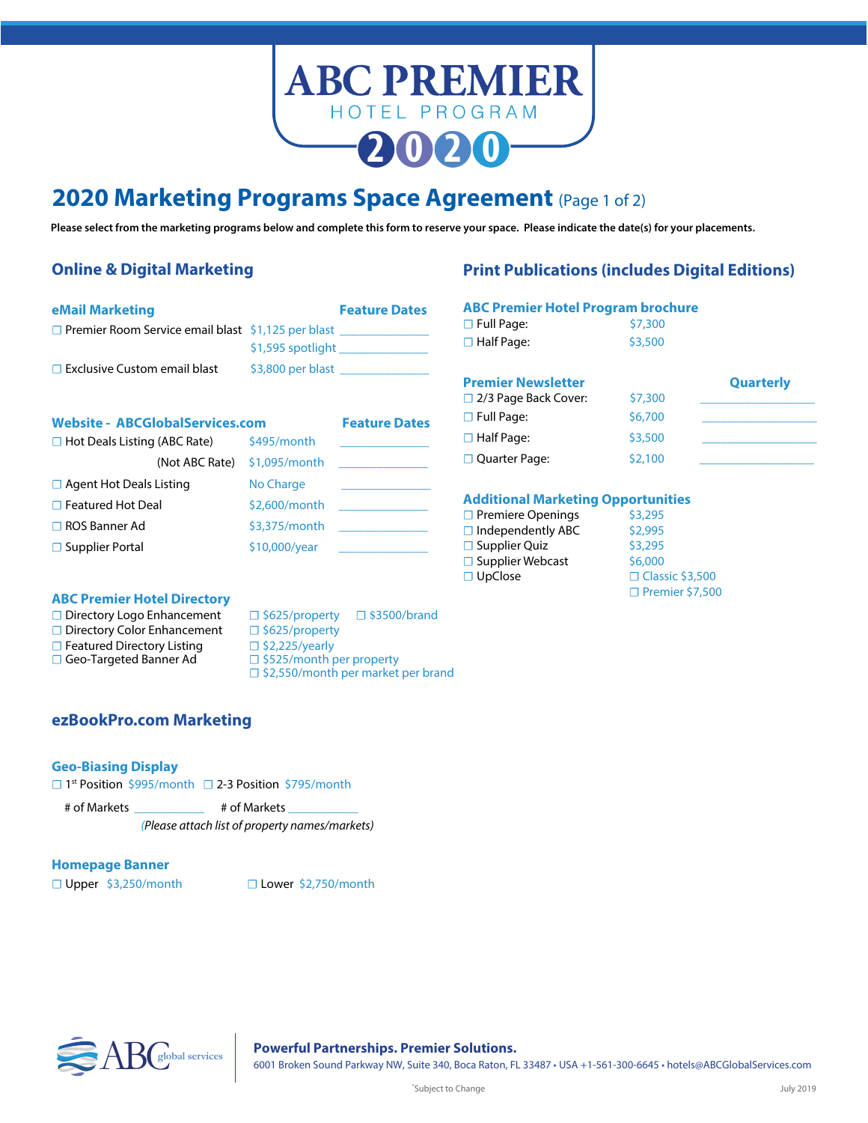

### **2020 Marketing Programs Space Agreement** (Page 1 of 2)

**Please select from the marketing programs below and complete this form to reserve your space. Please indicate the date(s) for your placements.**

### **Online & Digital Marketing**

### **Print Publications (includes Digital Editions)**

| <b>eMail Marketing</b>                                                  | <b>Feature Dates</b> |  |
|-------------------------------------------------------------------------|----------------------|--|
| <b>D</b> Premier Room Service email blast $\frac{1}{2}$ , 125 per blast |                      |  |
|                                                                         | $$1,595$ spotlight   |  |
| $\Box$ Exclusive Custom email blast                                     | $$3,800$ per blast   |  |
|                                                                         |                      |  |

### Website - ABCGlobalServices.com Feature Dates

| $\Box$ Hot Deals Listing (ABC Rate) | \$495/month   |  |
|-------------------------------------|---------------|--|
| (Not ABC Rate)                      | \$1,095/month |  |
| $\Box$ Agent Hot Deals Listing      | No Charge     |  |
| $\Box$ Featured Hot Deal            | \$2,600/month |  |
| $\Box$ ROS Banner Ad                | \$3,375/month |  |
| $\Box$ Supplier Portal              | \$10,000/year |  |

### **ABC Premier Hotel Program brochure**

| $\Box$ Full Page:    | \$7,300 |
|----------------------|---------|
| $\square$ Half Page: | \$3,500 |

| <b>Premier Newsletter</b>   |         | <b>Quarterly</b> |
|-----------------------------|---------|------------------|
| $\Box$ 2/3 Page Back Cover: | \$7,300 |                  |
| $\Box$ Full Page:           | \$6,700 |                  |
| $\Box$ Half Page:           | \$3,500 |                  |
| $\Box$ Quarter Page:        | \$2,100 |                  |

### **Additional Marketing Opportunities**

| $\Box$ Premiere Openings | \$3,295                |
|--------------------------|------------------------|
| $\Box$ Independently ABC | \$2,995                |
| $\Box$ Supplier Quiz     | \$3,295                |
| $\Box$ Supplier Webcast  | \$6,000                |
| $\Box$ UpClose           | □ Classic \$3,500      |
|                          | $\Box$ Premier \$7,500 |

### **ABC Premier Hotel Directory**

□ Geo-Targeted Banner Ad

**□** Directory Logo Enhancement □ \$625/property □ \$3500/brand □ Directory Color Enhancement □ \$625/property

- 
- -
- **□ Featured Directory Listing** □ \$2,225/yearly<br>□ **Geo-Targeted Banner Ad** □ \$525/month per property
	- □ \$2,550/month per market per brand

### **ezBookPro.com Marketing**

### **Geo-Biasing Display**

☐ 1st Position \$995/month ☐ 2-3 Position \$795/month

```
# of Markets ___________ # of Markets ___________
```
*(Please attach list of property names/markets)*

### **Homepage Banner**

☐ Upper \$3,250/month ☐ Lower \$2,750/month



ABCobal services
8001 Broken Sound Partnerships. Premier Solutions.<br>
6001 Broken Sound Parkway NW, Suite 340, Boca Raton, FL 33487 • USA +1-561-300-6645 • hotels@ABCGlobalServices.com